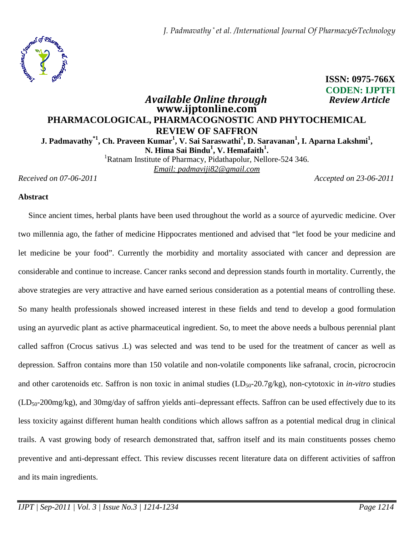*J. Padmavathy \* et al. /International Journal Of Pharmacy&Technology*



# **CODEN: IJPTFI**  *Available Online through* **www.ijptonline.com PHARMACOLOGICAL, PHARMACOGNOSTIC AND PHYTOCHEMICAL REVIEW OF SAFFRON J. Padmavathy\*1, Ch. Praveen Kumar<sup>1</sup> , V. Sai Saraswathi<sup>1</sup> , D. Saravanan<sup>1</sup> , I. Aparna Lakshmi<sup>1</sup> , N. Hima Sai Bindu<sup>1</sup> , V. Hemafaith<sup>1</sup> .**

<sup>1</sup>Ratnam Institute of Pharmacy, Pidathapolur, Nellore-524 346. *Email: padmaviji82@gmail.com*

*Received on 07-06-2011 Accepted on 23-06-2011*

**ISSN: 0975-766X**

#### **Abstract**

 Since ancient times, herbal plants have been used throughout the world as a source of ayurvedic medicine. Over two millennia ago, the father of medicine Hippocrates mentioned and advised that "let food be your medicine and let medicine be your food". Currently the morbidity and mortality associated with cancer and depression are considerable and continue to increase. Cancer ranks second and depression stands fourth in mortality. Currently, the above strategies are very attractive and have earned serious consideration as a potential means of controlling these. So many health professionals showed increased interest in these fields and tend to develop a good formulation using an ayurvedic plant as active pharmaceutical ingredient. So, to meet the above needs a bulbous perennial plant called saffron (Crocus sativus .L) was selected and was tend to be used for the treatment of cancer as well as depression. Saffron contains more than 150 volatile and non-volatile components like safranal, crocin, picrocrocin and other carotenoids etc. Saffron is non toxic in animal studies (LD<sub>50</sub>-20.7g/kg), non-cytotoxic in *in-vitro* studies  $(LD_{50-}200mg/kg)$ , and 30mg/day of saffron yields anti-depressant effects. Saffron can be used effectively due to its less toxicity against different human health conditions which allows saffron as a potential medical drug in clinical trails. A vast growing body of research demonstrated that, saffron itself and its main constituents posses chemo preventive and anti-depressant effect. This review discusses recent literature data on different activities of saffron and its main ingredients.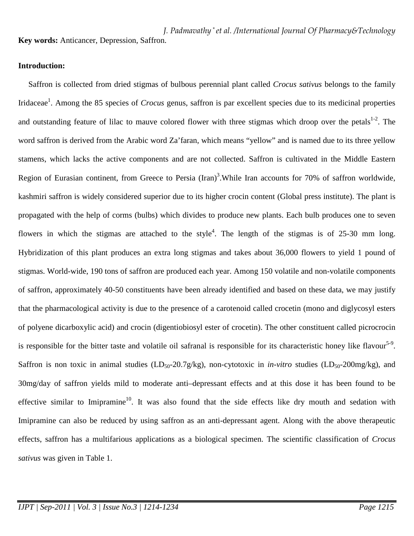*J. Padmavathy \* et al. /International Journal Of Pharmacy&Technology* **Key words:** Anticancer, Depression, Saffron.

### **Introduction:**

 Saffron is collected from dried stigmas of bulbous perennial plant called *Crocus sativus* belongs to the family Iridaceae<sup>1</sup>. Among the 85 species of *Crocus* genus, saffron is par excellent species due to its medicinal properties and outstanding feature of lilac to mauve colored flower with three stigmas which droop over the petals<sup>1-2</sup>. The word saffron is derived from the Arabic word Za'faran, which means "yellow" and is named due to its three yellow stamens, which lacks the active components and are not collected. Saffron is cultivated in the Middle Eastern Region of Eurasian continent, from Greece to Persia  $(Iran)^3$ . While Iran accounts for 70% of saffron worldwide, kashmiri saffron is widely considered superior due to its higher crocin content (Global press institute). The plant is propagated with the help of corms (bulbs) which divides to produce new plants. Each bulb produces one to seven flowers in which the stigmas are attached to the style<sup>4</sup>. The length of the stigmas is of 25-30 mm long. Hybridization of this plant produces an extra long stigmas and takes about 36,000 flowers to yield 1 pound of stigmas. World-wide, 190 tons of saffron are produced each year. Among 150 volatile and non-volatile components of saffron, approximately 40-50 constituents have been already identified and based on these data, we may justify that the pharmacological activity is due to the presence of a carotenoid called crocetin (mono and diglycosyl esters of polyene dicarboxylic acid) and crocin (digentiobiosyl ester of crocetin). The other constituent called picrocrocin is responsible for the bitter taste and volatile oil safranal is responsible for its characteristic honey like flavour<sup>5-9</sup>. Saffron is non toxic in animal studies (LD<sub>50</sub>-20.7g/kg), non-cytotoxic in *in-vitro* studies (LD<sub>50</sub>-200mg/kg), and 30mg/day of saffron yields mild to moderate anti–depressant effects and at this dose it has been found to be effective similar to Imipramine<sup>10</sup>. It was also found that the side effects like dry mouth and sedation with Imipramine can also be reduced by using saffron as an anti-depressant agent. Along with the above therapeutic effects, saffron has a multifarious applications as a biological specimen. The scientific classification of *Crocus sativus* was given in Table 1.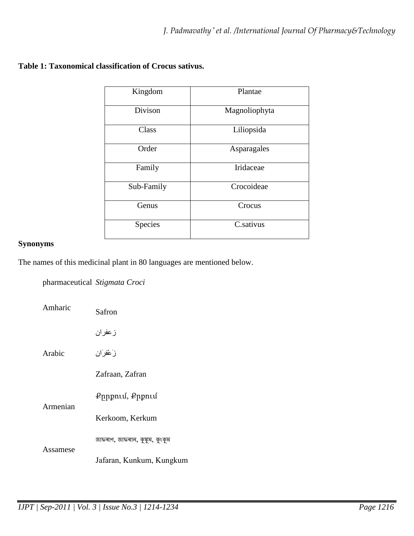| Kingdom    | Plantae       |
|------------|---------------|
| Divison    | Magnoliophyta |
| Class      | Liliopsida    |
| Order      | Asparagales   |
| Family     | Iridaceae     |
| Sub-Family | Crocoideae    |
| Genus      | Crocus        |
| Species    | C.sativus     |

# **Table 1: Taxonomical classification of Crocus sativus.**

# **Synonyms**

The names of this medicinal plant in 80 languages are mentioned below.

pharmaceutical *Stigmata Croci*

| Amharic  | Safron                          |
|----------|---------------------------------|
|          | زعفران                          |
| Arabic   | زَعْفرَان                       |
|          | Zafraan, Zafran                 |
| Armenian | Քրրքում, Քրքում                 |
|          | Kerkoom, Kerkum                 |
| Assamese | জাফৰাণ, জাফৰান, কুঙ্কুম, কুংকুম |
|          | Jafaran, Kunkum, Kungkum        |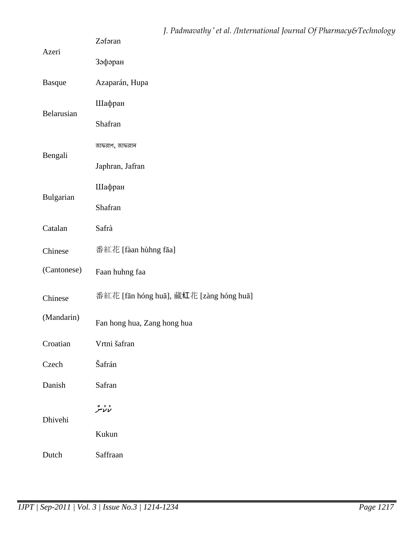|               | J. Padmavathy* et al. /International Journal Of Pharmacy&Technology<br>Zəfəran |  |  |
|---------------|--------------------------------------------------------------------------------|--|--|
| Azeri         | Зәфәран                                                                        |  |  |
| <b>Basque</b> | Azaparán, Hupa                                                                 |  |  |
| Belarusian    | Шафран                                                                         |  |  |
|               | Shafran                                                                        |  |  |
| Bengali       | জাফরাণ, জাফরান                                                                 |  |  |
|               | Japhran, Jafran                                                                |  |  |
| Bulgarian     | Шафран                                                                         |  |  |
|               | Shafran                                                                        |  |  |
| Catalan       | Safrà                                                                          |  |  |
| Chinese       | 番紅花 [fàan hùhng fāa]                                                           |  |  |
| (Cantonese)   | Faan huhng faa                                                                 |  |  |
| Chinese       | 番紅花 [fān hóng huā], 藏红花 [zàng hóng huā]                                        |  |  |
| (Mandarin)    | Fan hong hua, Zang hong hua                                                    |  |  |
| Croatian      | Vrtni šafran                                                                   |  |  |
| Czech         | Šafrán                                                                         |  |  |
| Danish        | Safran                                                                         |  |  |
| Dhivehi       | د ده<br>لالامر                                                                 |  |  |
|               | Kukun                                                                          |  |  |
| Dutch         | Saffraan                                                                       |  |  |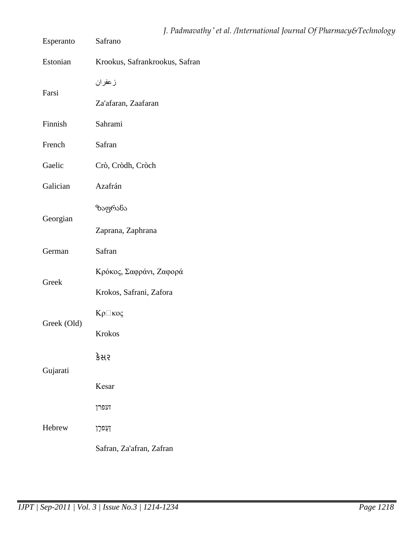| Esperanto   | J. Padmavathy * et al. /International Journal Of Pharmacy&Technology<br>Safrano |
|-------------|---------------------------------------------------------------------------------|
| Estonian    | Krookus, Safrankrookus, Safran                                                  |
| Farsi       | زعفران                                                                          |
|             | Za'afaran, Zaafaran                                                             |
| Finnish     | Sahrami                                                                         |
| French      | Safran                                                                          |
| Gaelic      | Crò, Cròdh, Cròch                                                               |
| Galician    | Azafrán                                                                         |
| Georgian    | ზაფრანა                                                                         |
|             | Zaprana, Zaphrana                                                               |
| German      | Safran                                                                          |
| Greek       | Κρόκος, Σαφράνι, Ζαφορά                                                         |
|             | Krokos, Safrani, Zafora                                                         |
|             | Κρ⊡κος                                                                          |
| Greek (Old) | Krokos                                                                          |
| Gujarati    | કેસર                                                                            |
|             | Kesar                                                                           |
| Hebrew      | זעפרן                                                                           |
|             | זְעַפּרָן                                                                       |
|             | Safran, Za'afran, Zafran                                                        |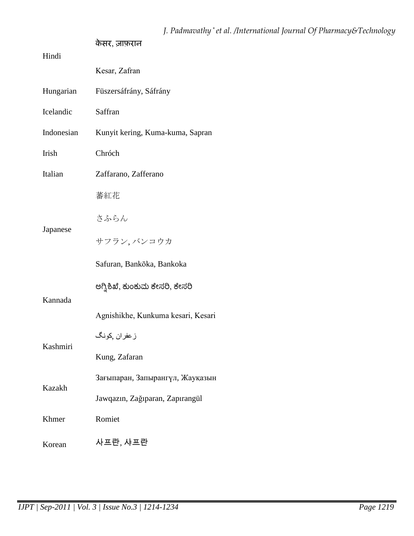| Hindi      | केसर, ज़ाफ़रान                     |
|------------|------------------------------------|
|            | Kesar, Zafran                      |
| Hungarian  | Füszersáfrány, Sáfrány             |
| Icelandic  | Saffran                            |
| Indonesian | Kunyit kering, Kuma-kuma, Sapran   |
| Irish      | Chróch                             |
| Italian    | Zaffarano, Zafferano               |
|            | 蕃紅花                                |
|            | さふらん                               |
| Japanese   | サフラン, バンコウカ                        |
|            | Safuran, Bankōka, Bankoka          |
|            | ಅಗ್ನಿಶಿಖೆ, ಕುಂಕುಮ ಕೇಸರಿ, ಕೇಸರಿ     |
| Kannada    | Agnishikhe, Kunkuma kesari, Kesari |
|            | ز عفران كونگ                       |
| Kashmiri   | Kung, Zafaran                      |
| Kazakh     | Зағыпаран, Запырангүл, Жауқазын    |
|            | Jawqazın, Zağıparan, Zapırangül    |
| Khmer      | Romiet                             |
| Korean     | 사프란, 샤프란                           |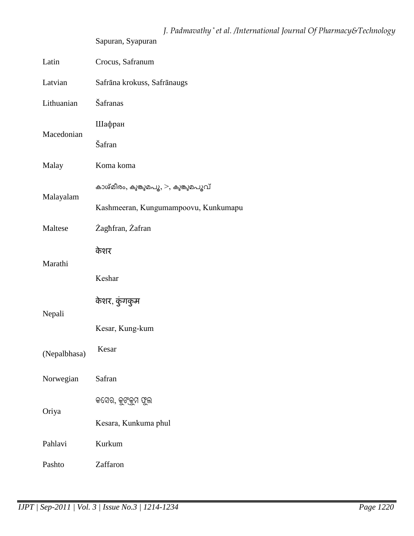|              | Sapuran, Syapuran                    |
|--------------|--------------------------------------|
| Latin        | Crocus, Safranum                     |
| Latvian      | Safrāna krokuss, Safrānaugs          |
| Lithuanian   | Šafranas                             |
| Macedonian   | Шафран                               |
|              | Šafran                               |
| Malay        | Koma koma                            |
|              | കാശ്മീരം, കുങ്കുമപൂ, >, കുങ്കുമപൂവ്  |
| Malayalam    | Kashmeeran, Kungumampoovu, Kunkumapu |
| Maltese      | Zaghfran, Zafran                     |
|              | केशर                                 |
| Marathi      | Keshar                               |
|              | केशर, कुंगकुम                        |
| Nepali       | Kesar, Kung-kum                      |
| (Nepalbhasa) | Kesar                                |
| Norwegian    | Safran                               |
|              | କସେର, କୁଙ୍କୁମ ଫୁଲ                    |
| Oriya        | Kesara, Kunkuma phul                 |
| Pahlavi      | Kurkum                               |
| Pashto       | Zaffaron                             |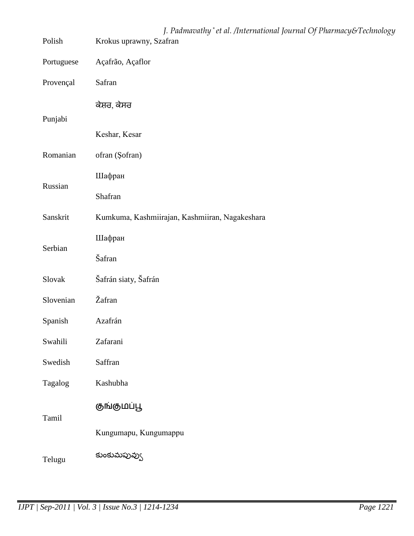| Polish     | J. Padmavathy * et al. /International Journal Of Pharmacy&Technology<br>Krokus uprawny, Szafran |
|------------|-------------------------------------------------------------------------------------------------|
| Portuguese | Açafrão, Açaflor                                                                                |
| Provençal  | Safran                                                                                          |
| Punjabi    | ਕੇਸ਼ਰ, ਕੇਸਰ                                                                                     |
|            | Keshar, Kesar                                                                                   |
| Romanian   | ofran (Şofran)                                                                                  |
|            | Шафран                                                                                          |
| Russian    | Shafran                                                                                         |
| Sanskrit   | Kumkuma, Kashmiirajan, Kashmiiran, Nagakeshara                                                  |
| Serbian    | Шафран                                                                                          |
|            | Šafran                                                                                          |
| Slovak     | Šafrán siaty, Šafrán                                                                            |
| Slovenian  | Žafran                                                                                          |
| Spanish    | Azafrán                                                                                         |
| Swahili    | Zafarani                                                                                        |
| Swedish    | Saffran                                                                                         |
| Tagalog    | Kashubha                                                                                        |
| Tamil      | குங்குமப்பூ                                                                                     |
|            | Kungumapu, Kungumappu                                                                           |
| Telugu     | కుంకుమపువ్వు                                                                                    |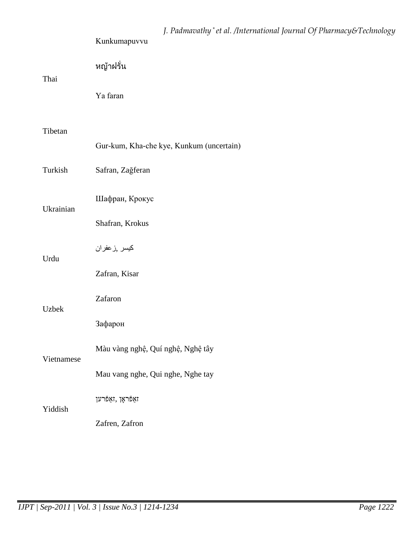|            | J. Padmavathy*et al. /International Journal Of Pharmacy&Technology<br>Kunkumapuvvu |
|------------|------------------------------------------------------------------------------------|
| Thai       | หญ้าฝรั่น                                                                          |
|            | Ya faran                                                                           |
| Tibetan    |                                                                                    |
|            | Gur-kum, Kha-che kye, Kunkum (uncertain)                                           |
| Turkish    | Safran, Zağferan                                                                   |
| Ukrainian  | Шафран, Крокус                                                                     |
|            | Shafran, Krokus                                                                    |
| Urdu       | كيسر ,زعفران                                                                       |
|            | Zafran, Kisar                                                                      |
| Uzbek      | Zafaron                                                                            |
|            | Зафарон                                                                            |
| Vietnamese | Màu vàng nghệ, Quí nghệ, Nghệ tây                                                  |
|            | Mau vang nghe, Qui nghe, Nghe tay                                                  |
| Yiddish    | זאַפֿראָן ,זאַפֿרען                                                                |
|            | Zafren, Zafron                                                                     |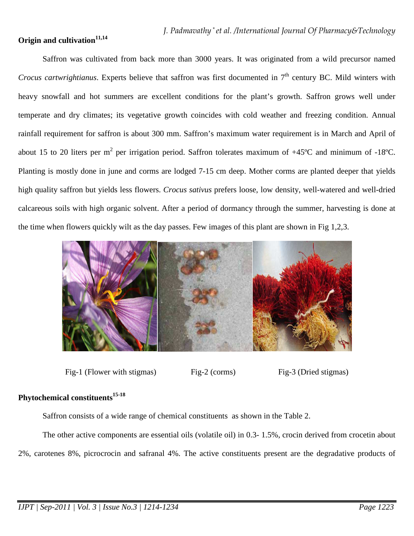# **Origin and cultivation11,14**

Saffron was cultivated from back more than 3000 years. It was originated from a wild precursor named *Crocus cartwrightianus*. Experts believe that saffron was first documented in 7<sup>th</sup> century BC. Mild winters with heavy snowfall and hot summers are excellent conditions for the plant's growth. Saffron grows well under temperate and dry climates; its vegetative growth coincides with cold weather and freezing condition. Annual rainfall requirement for saffron is about 300 mm. Saffron's maximum water requirement is in March and April of about 15 to 20 liters per m<sup>2</sup> per irrigation period. Saffron tolerates maximum of +45°C and minimum of -18°C. Planting is mostly done in june and corms are lodged 7-15 cm deep. Mother corms are planted deeper that yields high quality saffron but yields less flowers. *Crocus sativus* prefers loose, low density, well-watered and well-dried calcareous soils with high organic solvent. After a period of dormancy through the summer, harvesting is done at the time when flowers quickly wilt as the day passes. Few images of this plant are shown in Fig 1,2,3.



Fig-1 (Flower with stigmas) Fig-2 (corms) Fig-3 (Dried stigmas)

# **Phytochemical constituents15-18**

Saffron consists of a wide range of chemical constituents as shown in the Table 2.

The other active components are essential oils (volatile oil) in 0.3- 1.5%, crocin derived from crocetin about 2%, carotenes 8%, picrocrocin and safranal 4%. The active constituents present are the degradative products of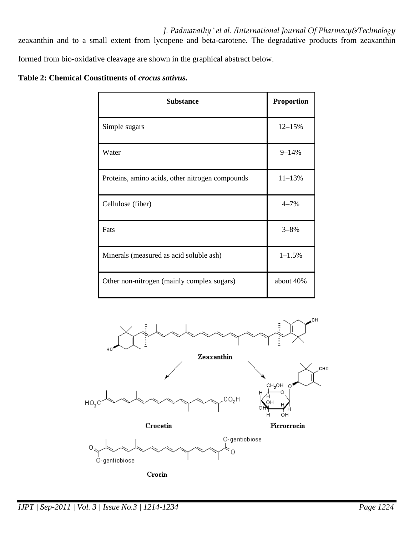*J. Padmavathy \* et al. /International Journal Of Pharmacy&Technology* zeaxanthin and to a small extent from lycopene and beta-carotene. The degradative products from zeaxanthin formed from bio-oxidative cleavage are shown in the graphical abstract below.

## **Table 2: Chemical Constituents of** *crocus sativus.*

| <b>Substance</b>                                | <b>Proportion</b> |
|-------------------------------------------------|-------------------|
| Simple sugars                                   | $12 - 15%$        |
| Water                                           | $9 - 14%$         |
| Proteins, amino acids, other nitrogen compounds | $11 - 13%$        |
| Cellulose (fiber)                               | $4 - 7%$          |
| Fats                                            | $3 - 8%$          |
| Minerals (measured as acid soluble ash)         | $1 - 1.5%$        |
| Other non-nitrogen (mainly complex sugars)      | about 40%         |

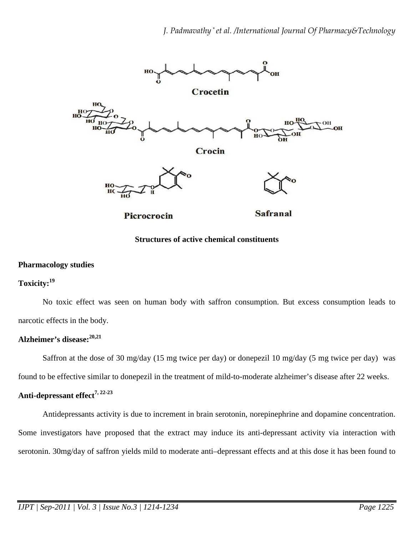

### **Structures of active chemical constituents**

#### **Pharmacology studies**

# **Toxicity:<sup>19</sup>**

No toxic effect was seen on human body with saffron consumption. But excess consumption leads to narcotic effects in the body.

### **Alzheimer's disease:20,21**

Saffron at the dose of 30 mg/day (15 mg twice per day) or donepezil 10 mg/day (5 mg twice per day) was

found to be effective similar to donepezil in the treatment of mild-to-moderate alzheimer's disease after 22 weeks.

# **Anti-depressant effect7, 22-23**

Antidepressants activity is due to increment in brain serotonin, norepinephrine and dopamine concentration. Some investigators have proposed that the extract may induce its anti-depressant activity via interaction with serotonin. 30mg/day of saffron yields mild to moderate anti–depressant effects and at this dose it has been found to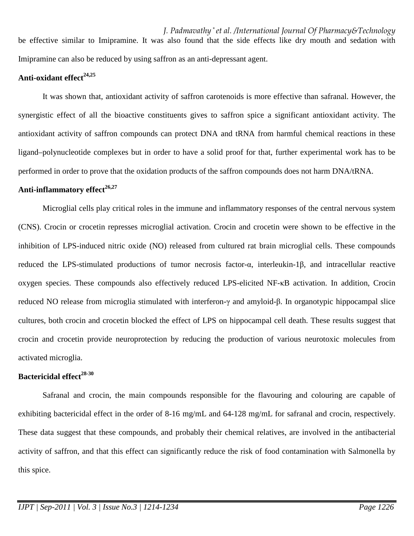*J. Padmavathy \* et al. /International Journal Of Pharmacy&Technology* be effective similar to Imipramine. It was also found that the side effects like dry mouth and sedation with Imipramine can also be reduced by using saffron as an anti-depressant agent.

## **Anti-oxidant effect24,25**

It was shown that, antioxidant activity of saffron carotenoids is more effective than safranal. However, the synergistic effect of all the bioactive constituents gives to saffron spice a significant antioxidant activity. The antioxidant activity of saffron compounds can protect DNA and tRNA from harmful chemical reactions in these ligand–polynucleotide complexes but in order to have a solid proof for that, further experimental work has to be performed in order to prove that the oxidation products of the saffron compounds does not harm DNA/tRNA.

### **Anti-inflammatory effect26,27**

Microglial cells play critical roles in the immune and inflammatory responses of the central nervous system (CNS). Crocin or crocetin represses microglial activation. Crocin and crocetin were shown to be effective in the inhibition of LPS-induced nitric oxide (NO) released from cultured rat brain microglial cells. These compounds reduced the LPS-stimulated productions of tumor necrosis factor-α, interleukin-1β, and intracellular reactive oxygen species. These compounds also effectively reduced LPS-elicited NF-κB activation. In addition, Crocin reduced NO release from microglia stimulated with interferon-γ and amyloid-β. In organotypic hippocampal slice cultures, both crocin and crocetin blocked the effect of LPS on hippocampal cell death. These results suggest that crocin and crocetin provide neuroprotection by reducing the production of various neurotoxic molecules from activated microglia.

### **Bactericidal effect28-30**

Safranal and crocin, the main compounds responsible for the flavouring and colouring are capable of exhibiting bactericidal effect in the order of 8-16 mg/mL and 64-128 mg/mL for safranal and crocin, respectively. These data suggest that these compounds, and probably their chemical relatives, are involved in the antibacterial activity of saffron, and that this effect can significantly reduce the risk of food contamination with Salmonella by this spice.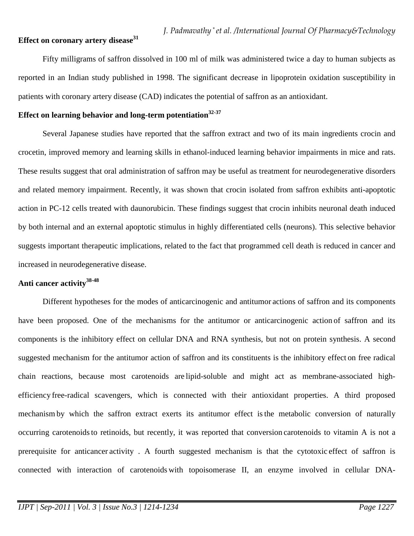### **Effect on coronary artery disease<sup>31</sup>**

Fifty milligrams of saffron dissolved in 100 ml of milk was administered twice a day to human subjects as reported in an Indian study published in 1998. The significant decrease in lipoprotein oxidation susceptibility in patients with coronary artery disease (CAD) indicates the potential of saffron as an antioxidant.

## **Effect on learning behavior and long-term potentiation32-37**

Several Japanese studies have reported that the saffron extract and two of its main ingredients crocin and crocetin, improved memory and learning skills in ethanol-induced learning behavior impairments in mice and rats. These results suggest that oral administration of saffron may be useful as treatment for neurodegenerative disorders and related memory impairment. Recently, it was shown that crocin isolated from saffron exhibits anti-apoptotic action in PC-12 cells treated with daunorubicin. These findings suggest that crocin inhibits neuronal death induced by both internal and an external apoptotic stimulus in highly differentiated cells (neurons). This selective behavior suggests important therapeutic implications, related to the fact that programmed cell death is reduced in cancer and increased in neurodegenerative disease.

#### **Anti cancer activity38-48**

Different hypotheses for the modes of anticarcinogenic and antitumor actions of saffron and its components have been proposed. One of the mechanisms for the antitumor or anticarcinogenic action of saffron and its components is the inhibitory effect on cellular DNA and RNA synthesis, but not on protein synthesis. A second suggested mechanism for the antitumor action of saffron and its constituents is the inhibitory effect on free radical chain reactions, because most carotenoids are lipid-soluble and might act as membrane-associated highefficiency free-radical scavengers, which is connected with their antioxidant properties. A third proposed mechanism by which the saffron extract exerts its antitumor effect isthe metabolic conversion of naturally occurring carotenoids to retinoids, but recently, it was reported that conversion carotenoids to vitamin A is not a prerequisite for anticancer activity . A fourth suggested mechanism is that the cytotoxic effect of saffron is connected with interaction of carotenoids with topoisomerase II, an enzyme involved in cellular DNA-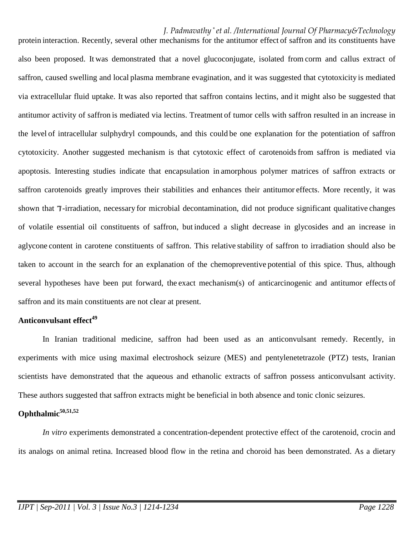# *J. Padmavathy \* et al. /International Journal Of Pharmacy&Technology*

protein interaction. Recently, several other mechanisms for the antitumor effect of saffron and its constituents have also been proposed. It was demonstrated that a novel glucoconjugate, isolated from corm and callus extract of saffron, caused swelling and local plasma membrane evagination, and it was suggested that cytotoxicity is mediated saffron, caused swelling and local plasma membrane evagination, and it was suggested that cytotoxicity is mediated<br>via extracellular fluid uptake. It was also reported that saffron contains lectins, and it might also be su antitumor activity of saffron is mediated via lectins. Treatment of tumor cells with saffron resulted in an increase in the level of intracellular sulphydryl compounds, and this could be one explanation for the potentiation of saffron cytotoxicity. Another suggested mechanism is that cytotoxic effect of carotenoids from saffron is mediated via apoptosis. Interesting studies indicate that encapsulation in amorphous polymer matrices of saffron extracts or saffron carotenoids greatly improves their stabilities and enhances their antitumor effects. More recently, it was shown that 7-irradiation, necessary for microbial decontamination, did not produce significant qualitative changes shown that 7-irradiation, necessary for microbial decontamination, did not produce significant qualitative changes<br>of volatile essential oil constituents of saffron, but induced a slight decrease in glycosides and an incre aglycone content in carotene constituents of saffron. This relative stability of saffron to irradiation should also be taken to account in the search for an explanation of the chemopreventive potential of this spice. Thus, although several hypotheses have been put forward, the exact mechanism(s) of anticarcinogenic and antitumor effects saffron and its main constituents are not clear at present. of tumor cells with saffron resulted in an increase<br>d be one explanation for the potentiation of saffr<br>effect of carotenoids from saffron is mediated<br>morphous polymer matrices of saffron extracts<br>ances their antitumor effe ced a slight decrease in glycosides and an increase in<br>relative stability of saffron to irradiation should also be<br>chemopreventive potential of this spice. Thus, although<br>chanism(s) of anticarcinogenic and antitumor effect

## **Anticonvulsant effect<sup>49</sup>**

In Iranian traditional medicine, saffron had been used as an anticonvulsant remedy. Recently, in experiments with mice using maximal electroshock seizure (MES) and pentylenetetrazole (PTZ) tests, Iranian scientists have demonstrated that the aqueous and ethanolic extracts of saffron possess anticonvulsant activity. These authors suggested that saffron extracts might be beneficial in both absence and tonic clonic seizures. ts have demonstrated that the aqueous and ethanolic extracts of saffron possess anticonvulsant activity.<br> **almic<sup>50,51,52</sup>**<br> *In vitro* experiments demonstrated a concentration-dependent protective effect of the carotenoid

# **Ophthalmic50,51,52**

its analogs on animal retina. Increased blood flow in the retina and choroid has been demonstrated. As a dietary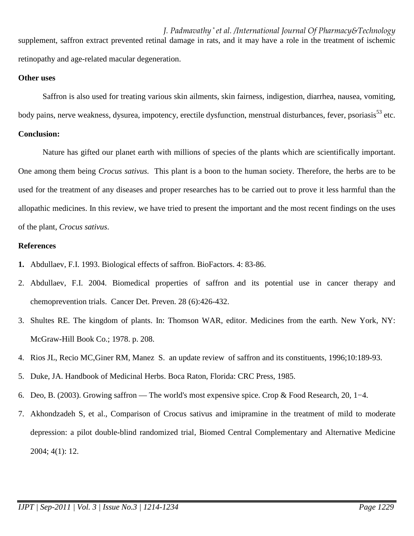*J. Padmavathy \* et al. /International Journal Of Pharmacy&Technology* supplement, saffron extract prevented retinal damage in rats, and it may have a role in the treatment of ischemic retinopathy and age-related macular degeneration.

#### **Other uses**

Saffron is also used for treating various skin ailments, skin fairness, indigestion, diarrhea, nausea, vomiting, body pains, nerve weakness, dysurea, impotency, erectile dysfunction, menstrual disturbances, fever, psoriasis<sup>53</sup> etc. **Conclusion:** 

Nature has gifted our planet earth with millions of species of the plants which are scientifically important. One among them being *Crocus sativus.* This plant is a boon to the human society. Therefore, the herbs are to be used for the treatment of any diseases and proper researches has to be carried out to prove it less harmful than the allopathic medicines. In this review, we have tried to present the important and the most recent findings on the uses of the plant, *Crocus sativus*.

## **References**

- **1.** Abdullaev, F.I. 1993. Biological effects of saffron. BioFactors. 4: 83-86.
- 2. Abdullaev, F.I. 2004. Biomedical properties of saffron and its potential use in cancer therapy and chemoprevention trials. Cancer Det. Preven. 28 (6):426-432.
- 3. Shultes RE. The kingdom of plants. In: Thomson WAR, editor. Medicines from the earth. New York, NY: McGraw-Hill Book Co.; 1978. p. 208.
- 4. Rios JL, Recio MC,Giner RM, Manez S. an update review of saffron and its constituents, 1996;10:189-93.
- 5. Duke, JA. Handbook of Medicinal Herbs. Boca Raton, Florida: CRC Press, 1985.
- 6. Deo, B. (2003). Growing saffron The world's most expensive spice. Crop & Food Research, 20, 1−4.
- 7. Akhondzadeh S, et al., Comparison of Crocus sativus and imipramine in the treatment of mild to moderate depression: a pilot double-blind randomized trial, Biomed Central Complementary and Alternative Medicine 2004; 4(1): 12.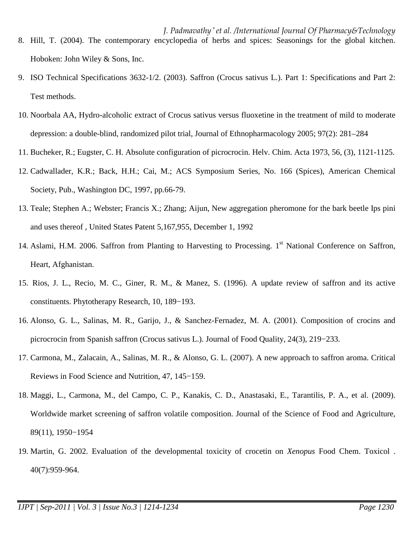- *J. Padmavathy \* et al. /International Journal Of Pharmacy&Technology* 8. Hill, T. (2004). The contemporary encyclopedia of herbs and spices: Seasonings for the global kitchen. Hoboken: John Wiley & Sons, Inc.
- 9. ISO Technical Specifications 3632-1/2. (2003). Saffron (Crocus sativus L.). Part 1: Specifications and Part 2: Test methods.
- 10. Noorbala AA, Hydro-alcoholic extract of Crocus sativus versus fluoxetine in the treatment of mild to moderate depression: a double-blind, randomized pilot trial, Journal of Ethnopharmacology 2005; 97(2): 281–284
- 11. Bucheker, R.; Eugster, C. H. Absolute configuration of picrocrocin. Helv. Chim. Acta 1973, 56, (3), 1121-1125.
- 12. Cadwallader, K.R.; Back, H.H.; Cai, M.; ACS Symposium Series, No. 166 (Spices), American Chemical Society, Pub., Washington DC, 1997, pp.66-79.
- 13. Teale; Stephen A.; Webster; Francis X.; Zhang; Aijun, New aggregation pheromone for the bark beetle Ips pini and uses thereof , United States Patent 5,167,955, December 1, 1992
- 14. Aslami, H.M. 2006. Saffron from Planting to Harvesting to Processing. 1<sup>st</sup> National Conference on Saffron, Heart, Afghanistan.
- 15. Rios, J. L., Recio, M. C., Giner, R. M., & Manez, S. (1996). A update review of saffron and its active constituents. Phytotherapy Research, 10, 189−193.
- 16. Alonso, G. L., Salinas, M. R., Garijo, J., & Sanchez-Fernadez, M. A. (2001). Composition of crocins and picrocrocin from Spanish saffron (Crocus sativus L.). Journal of Food Quality, 24(3), 219−233.
- 17. Carmona, M., Zalacain, A., Salinas, M. R., & Alonso, G. L. (2007). A new approach to saffron aroma. Critical Reviews in Food Science and Nutrition, 47, 145−159.
- 18. Maggi, L., Carmona, M., del Campo, C. P., Kanakis, C. D., Anastasaki, E., Tarantilis, P. A., et al. (2009). Worldwide market screening of saffron volatile composition. Journal of the Science of Food and Agriculture, 89(11), 1950−1954
- 19. Martin, G. 2002. Evaluation of the developmental toxicity of crocetin on *Xenopus* Food Chem. Toxicol . 40(7):959-964.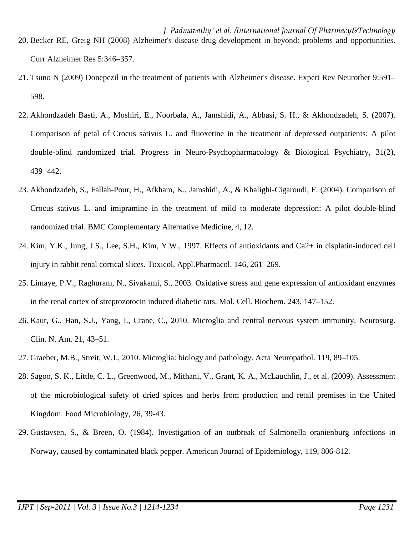- *J. Padmavathy \* et al. /International Journal Of Pharmacy&Technology* 20. Becker RE, Greig NH (2008) Alzheimer's disease drug development in beyond: problems and opportunities. Curr Alzheimer Res 5:346–357.
- 21. Tsuno N (2009) Donepezil in the treatment of patients with Alzheimer's disease. Expert Rev Neurother 9:591– 598.
- 22. Akhondzadeh Basti, A., Moshiri, E., Noorbala, A., Jamshidi, A., Abbasi, S. H., & Akhondzadeh, S. (2007). Comparison of petal of Crocus sativus L. and fluoxetine in the treatment of depressed outpatients: A pilot double-blind randomized trial. Progress in Neuro-Psychopharmacology & Biological Psychiatry, 31(2), 439−442.
- 23. Akhondzadeh, S., Fallah-Pour, H., Afkham, K., Jamshidi, A., & Khalighi-Cigaroudi, F. (2004). Comparison of Crocus sativus L. and imipramine in the treatment of mild to moderate depression: A pilot double-blind randomized trial. BMC Complementary Alternative Medicine, 4, 12.
- 24. Kim, Y.K., Jung, J.S., Lee, S.H., Kim, Y.W., 1997. Effects of antioxidants and Ca2+ in cisplatin-induced cell injury in rabbit renal cortical slices. Toxicol. Appl.Pharmacol. 146, 261–269.
- 25. Limaye, P.V., Raghuram, N., Sivakami, S., 2003. Oxidative stress and gene expression of antioxidant enzymes in the renal cortex of streptozotocin induced diabetic rats. Mol. Cell. Biochem. 243, 147–152.
- 26. Kaur, G., Han, S.J., Yang, I., Crane, C., 2010. Microglia and central nervous system immunity. Neurosurg. Clin. N. Am. 21, 43–51.
- 27. Graeber, M.B., Streit, W.J., 2010. Microglia: biology and pathology. Acta Neuropathol. 119, 89–105.
- 28. Sagoo, S. K., Little, C. L., Greenwood, M., Mithani, V., Grant, K. A., McLauchlin, J., et al. (2009). Assessment of the microbiological safety of dried spices and herbs from production and retail premises in the United Kingdom. Food Microbiology, 26, 39-43.
- 29. Gustavsen, S., & Breen, O. (1984). Investigation of an outbreak of Salmonella oranienburg infections in Norway, caused by contaminated black pepper. American Journal of Epidemiology, 119, 806-812.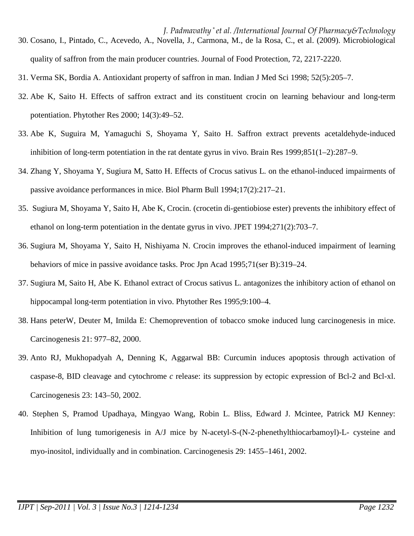- *J. Padmavathy \* et al. /International Journal Of Pharmacy&Technology* 30. Cosano, I., Pintado, C., Acevedo, A., Novella, J., Carmona, M., de la Rosa, C., et al. (2009). Microbiological quality of saffron from the main producer countries. Journal of Food Protection, 72, 2217-2220.
- 31. Verma SK, Bordia A. Antioxidant property of saffron in man. Indian J Med Sci 1998; 52(5):205–7.
- 32. Abe K, Saito H. Effects of saffron extract and its constituent crocin on learning behaviour and long-term potentiation. Phytother Res 2000; 14(3):49–52.
- 33. Abe K, Suguira M, Yamaguchi S, Shoyama Y, Saito H. Saffron extract prevents acetaldehyde-induced inhibition of long-term potentiation in the rat dentate gyrus in vivo. Brain Res 1999;851(1–2):287–9.
- 34. Zhang Y, Shoyama Y, Sugiura M, Satto H. Effects of Crocus sativus L. on the ethanol-induced impairments of passive avoidance performances in mice. Biol Pharm Bull 1994;17(2):217–21.
- 35. Sugiura M, Shoyama Y, Saito H, Abe K, Crocin. (crocetin di-gentiobiose ester) prevents the inhibitory effect of ethanol on long-term potentiation in the dentate gyrus in vivo. JPET 1994;271(2):703–7.
- 36. Sugiura M, Shoyama Y, Saito H, Nishiyama N. Crocin improves the ethanol-induced impairment of learning behaviors of mice in passive avoidance tasks. Proc Jpn Acad 1995;71(ser B):319–24.
- 37. Sugiura M, Saito H, Abe K. Ethanol extract of Crocus sativus L. antagonizes the inhibitory action of ethanol on hippocampal long-term potentiation in vivo. Phytother Res 1995;9:100–4.
- 38. Hans peterW, Deuter M, Imilda E: Chemoprevention of tobacco smoke induced lung carcinogenesis in mice. Carcinogenesis 21: 977–82, 2000.
- 39. Anto RJ, Mukhopadyah A, Denning K, Aggarwal BB: Curcumin induces apoptosis through activation of caspase-8, BID cleavage and cytochrome *c* release: its suppression by ectopic expression of Bcl-2 and Bcl-xl. Carcinogenesis 23: 143–50, 2002.
- 40. Stephen S, Pramod Upadhaya, Mingyao Wang, Robin L. Bliss, Edward J. Mcintee, Patrick MJ Kenney: Inhibition of lung tumorigenesis in A/J mice by N-acetyl-S-(N-2-phenethylthiocarbamoyl)-L- cysteine and myo-inositol, individually and in combination. Carcinogenesis 29: 1455–1461, 2002.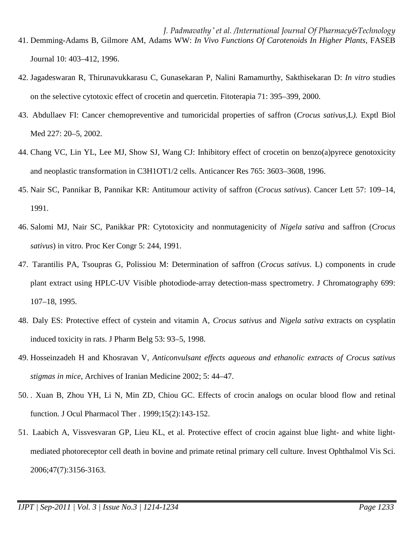- *J. Padmavathy \* et al. /International Journal Of Pharmacy&Technology* 41. Demming-Adams B, Gilmore AM, Adams WW: *In Vivo Functions Of Carotenoids In Higher Plants*, FASEB Journal 10: 403–412, 1996.
- 42. Jagadeswaran R, Thirunavukkarasu C, Gunasekaran P, Nalini Ramamurthy, Sakthisekaran D: *In vitro* studies on the selective cytotoxic effect of crocetin and quercetin. Fitoterapia 71: 395–399, 2000.
- 43. Abdullaev FI: Cancer chemopreventive and tumoricidal properties of saffron (*Crocus sativus,*L*).* Exptl Biol Med 227: 20–5, 2002.
- 44. Chang VC, Lin YL, Lee MJ, Show SJ, Wang CJ: Inhibitory effect of crocetin on benzo(a)pyrece genotoxicity and neoplastic transformation in C3H1OT1/2 cells. Anticancer Res 765: 3603–3608, 1996.
- 45. Nair SC, Pannikar B, Pannikar KR: Antitumour activity of saffron (*Crocus sativus*). Cancer Lett 57: 109–14, 1991.
- 46. Salomi MJ, Nair SC, Panikkar PR: Cytotoxicity and nonmutagenicity of *Nigela sativa* and saffron (*Crocus sativus*) in vitro. Proc Ker Congr 5: 244, 1991.
- 47. Tarantilis PA, Tsoupras G, Polissiou M: Determination of saffron (*Crocus sativus*. L) components in crude plant extract using HPLC-UV Visible photodiode-array detection-mass spectrometry. J Chromatography 699: 107–18, 1995.
- 48. Daly ES: Protective effect of cystein and vitamin A, *Crocus sativus* and *Nigela sativa* extracts on cysplatin induced toxicity in rats. J Pharm Belg 53: 93–5, 1998.
- 49. Hosseinzadeh H and Khosravan V, *Anticonvulsant effects aqueous and ethanolic extracts of Crocus sativus stigmas in mice*, Archives of Iranian Medicine 2002; 5: 44–47.
- 50. . Xuan B, Zhou YH, Li N, Min ZD, Chiou GC. Effects of crocin analogs on ocular blood flow and retinal function. J Ocul Pharmacol Ther . 1999;15(2):143-152.
- 51. Laabich A, Vissvesvaran GP, Lieu KL, et al. Protective effect of crocin against blue light- and white lightmediated photoreceptor cell death in bovine and primate retinal primary cell culture. Invest Ophthalmol Vis Sci. 2006;47(7):3156-3163.